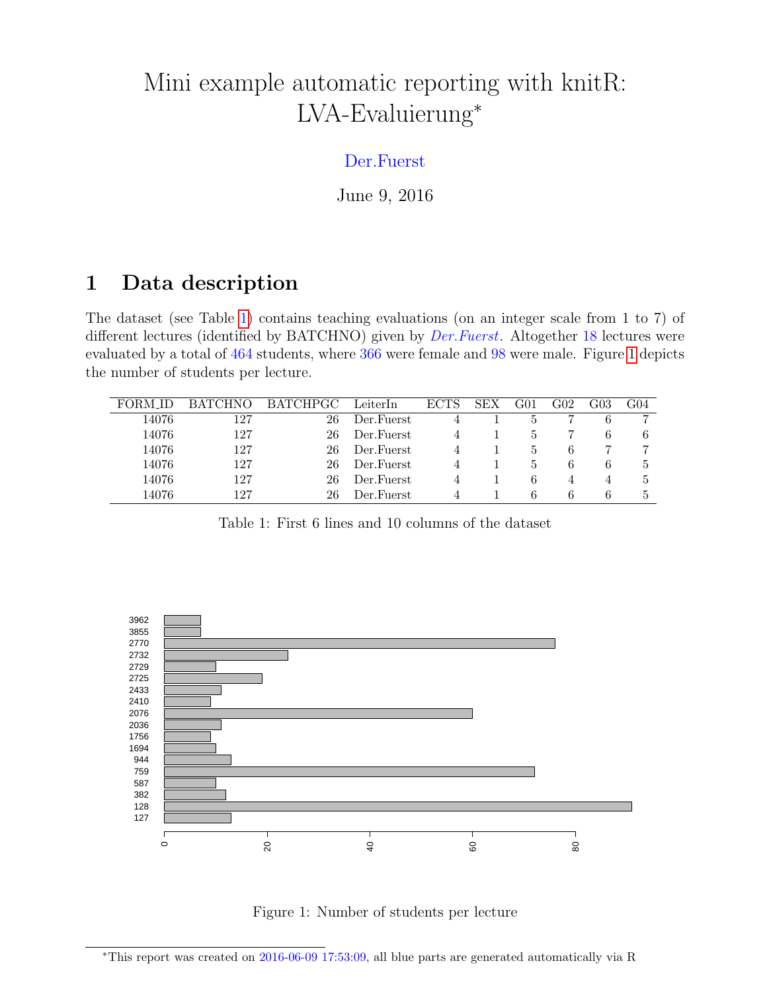## Mini example automatic reporting with knitR: LVA-Evaluierung<sup>∗</sup>

## Der.Fuerst

June 9, 2016

## 1 Data description

The dataset (see Table [1\)](#page-0-0) contains teaching evaluations (on an integer scale from 1 to 7) of different lectures (identified by BATCHNO) given by *Der.Fuerst*. Altogether 18 lectures were evaluated by a total of 464 students, where 366 were female and 98 were male. Figure [1](#page-0-1) depicts the number of students per lecture.

|       | <b>TCHNO</b> | <b>BATCHPGC</b> | LeiterIn    | <b>ECTS</b> | <b>SEX</b> | 301 | ${\rm G}02$ | $\rm G03$ | G04 |
|-------|--------------|-----------------|-------------|-------------|------------|-----|-------------|-----------|-----|
| 14076 | 127          | 26              | Der.Fuerst  |             |            | Ð   |             | 6         |     |
| 14076 | 127          | 26              | Der. Fuerst |             |            | Ð   |             | 6         | 6   |
| 14076 | 127          | 26              | Der.Fuerst  |             |            | Ð   | b           |           |     |
| 14076 | 127          | 26              | Der. Fuerst |             |            |     | h           | b         | Ð   |
| 14076 | 127          | 26              | Der. Fuerst |             |            | 6   |             | 4         |     |
| 14076 | 127          | 26              | Der.Fuerst  |             |            | 6   | h           | 6         | Ð   |

<span id="page-0-0"></span>Table 1: First 6 lines and 10 columns of the dataset



<span id="page-0-1"></span>Figure 1: Number of students per lecture

<sup>∗</sup>This report was created on 2016-06-09 17:53:09, all blue parts are generated automatically via R